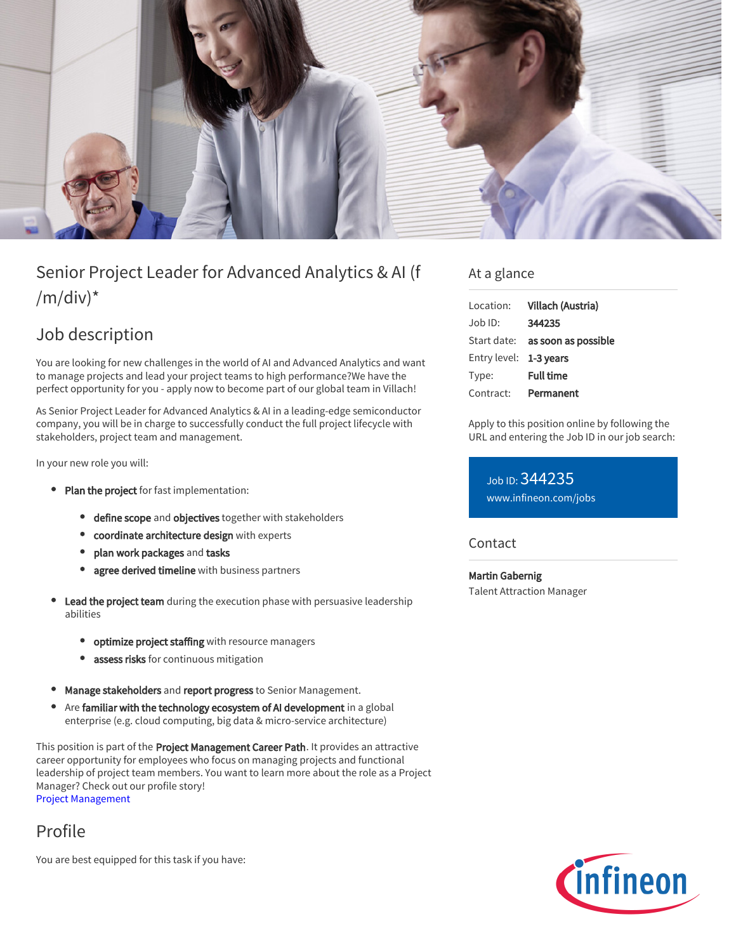

# Senior Project Leader for Advanced Analytics & AI (f  $/m/div)^*$

## Job description

You are looking for new challenges in the world of AI and Advanced Analytics and want to manage projects and lead your project teams to high performance?We have the perfect opportunity for you - apply now to become part of our global team in Villach!

As Senior Project Leader for Advanced Analytics & AI in a leading-edge semiconductor company, you will be in charge to successfully conduct the full project lifecycle with stakeholders, project team and management.

In your new role you will:

- Plan the project for fast implementation:
	- **define scope** and **objectives** together with stakeholders
	- coordinate architecture design with experts
	- plan work packages and tasks
	- agree derived timeline with business partners
- Lead the project team during the execution phase with persuasive leadership abilities
	- optimize project staffing with resource managers
	- assess risks for continuous mitigation  $\bullet$
- Manage stakeholders and report progress to Senior Management.
- $\bullet$ Are familiar with the technology ecosystem of AI development in a global enterprise (e.g. cloud computing, big data & micro-service architecture)

This position is part of the Project Management Career Path. It provides an attractive career opportunity for employees who focus on managing projects and functional leadership of project team members. You want to learn more about the role as a Project Manager? Check out our profile story!

[Project Management](https://www.infineon.com/cms/en/careers/working-at-infineon/project-manager/)

Profile

You are best equipped for this task if you have:

### At a glance

| Location:              | Villach (Austria)                      |
|------------------------|----------------------------------------|
| $Job$ ID:              | 344235                                 |
|                        | Start date: <b>as soon as possible</b> |
| Entry level: 1-3 years |                                        |
| Type:                  | <b>Full time</b>                       |
| Contract:              | Permanent                              |

Apply to this position online by following the URL and entering the Job ID in our job search:

Job ID: 344235 [www.infineon.com/jobs](https://www.infineon.com/jobs)

#### Contact

Martin Gabernig Talent Attraction Manager